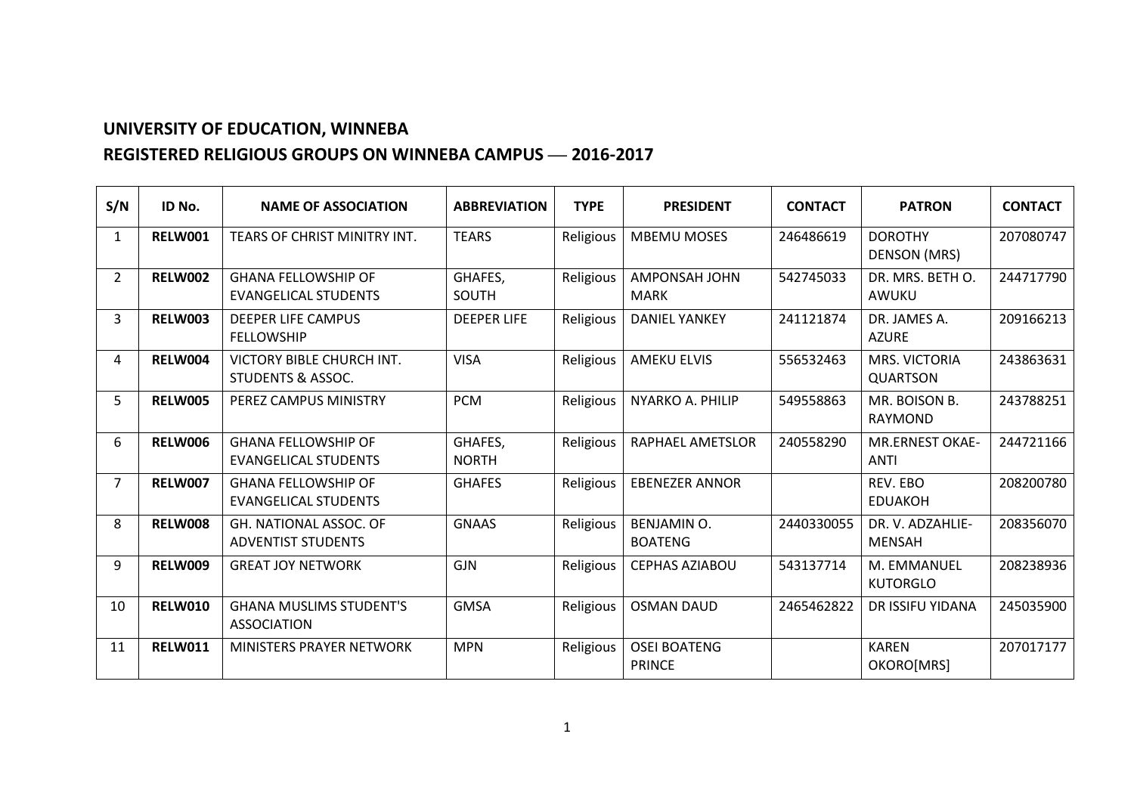# **UNIVERSITY OF EDUCATION, WINNEBA**

## **REGISTERED RELIGIOUS GROUPS ON WINNEBA CAMPUS — 2016-2017**

| S/N            | ID No.         | <b>NAME OF ASSOCIATION</b>                                | <b>ABBREVIATION</b>     | <b>TYPE</b> | <b>PRESIDENT</b>                     | <b>CONTACT</b> | <b>PATRON</b>                         | <b>CONTACT</b> |
|----------------|----------------|-----------------------------------------------------------|-------------------------|-------------|--------------------------------------|----------------|---------------------------------------|----------------|
| 1              | <b>RELW001</b> | TEARS OF CHRIST MINITRY INT.                              | <b>TEARS</b>            | Religious   | <b>MBEMU MOSES</b>                   | 246486619      | <b>DOROTHY</b><br><b>DENSON (MRS)</b> | 207080747      |
| $\overline{2}$ | <b>RELW002</b> | <b>GHANA FELLOWSHIP OF</b><br><b>EVANGELICAL STUDENTS</b> | GHAFES,<br>SOUTH        | Religious   | AMPONSAH JOHN<br><b>MARK</b>         | 542745033      | DR. MRS. BETH O.<br>AWUKU             | 244717790      |
| 3              | <b>RELW003</b> | <b>DEEPER LIFE CAMPUS</b><br><b>FELLOWSHIP</b>            | <b>DEEPER LIFE</b>      | Religious   | <b>DANIEL YANKEY</b>                 | 241121874      | DR. JAMES A.<br><b>AZURE</b>          | 209166213      |
| 4              | RELW004        | VICTORY BIBLE CHURCH INT.<br><b>STUDENTS &amp; ASSOC.</b> | <b>VISA</b>             | Religious   | <b>AMEKU ELVIS</b>                   | 556532463      | MRS. VICTORIA<br><b>QUARTSON</b>      | 243863631      |
| 5              | <b>RELW005</b> | PEREZ CAMPUS MINISTRY                                     | <b>PCM</b>              | Religious   | NYARKO A. PHILIP                     | 549558863      | MR. BOISON B.<br><b>RAYMOND</b>       | 243788251      |
| 6              | <b>RELW006</b> | <b>GHANA FELLOWSHIP OF</b><br><b>EVANGELICAL STUDENTS</b> | GHAFES,<br><b>NORTH</b> | Religious   | <b>RAPHAEL AMETSLOR</b>              | 240558290      | <b>MR.ERNEST OKAE-</b><br><b>ANTI</b> | 244721166      |
| 7              | <b>RELW007</b> | <b>GHANA FELLOWSHIP OF</b><br><b>EVANGELICAL STUDENTS</b> | <b>GHAFES</b>           | Religious   | <b>EBENEZER ANNOR</b>                |                | REV. EBO<br><b>EDUAKOH</b>            | 208200780      |
| 8              | <b>RELW008</b> | GH. NATIONAL ASSOC. OF<br><b>ADVENTIST STUDENTS</b>       | <b>GNAAS</b>            | Religious   | <b>BENJAMIN O.</b><br><b>BOATENG</b> | 2440330055     | DR. V. ADZAHLIE-<br><b>MENSAH</b>     | 208356070      |
| 9              | <b>RELW009</b> | <b>GREAT JOY NETWORK</b>                                  | <b>GJN</b>              | Religious   | <b>CEPHAS AZIABOU</b>                | 543137714      | M. EMMANUEL<br><b>KUTORGLO</b>        | 208238936      |
| 10             | <b>RELW010</b> | <b>GHANA MUSLIMS STUDENT'S</b><br><b>ASSOCIATION</b>      | <b>GMSA</b>             | Religious   | <b>OSMAN DAUD</b>                    | 2465462822     | DR ISSIFU YIDANA                      | 245035900      |
| 11             | <b>RELW011</b> | <b>MINISTERS PRAYER NETWORK</b>                           | <b>MPN</b>              | Religious   | <b>OSEI BOATENG</b><br><b>PRINCE</b> |                | <b>KAREN</b><br>OKORO[MRS]            | 207017177      |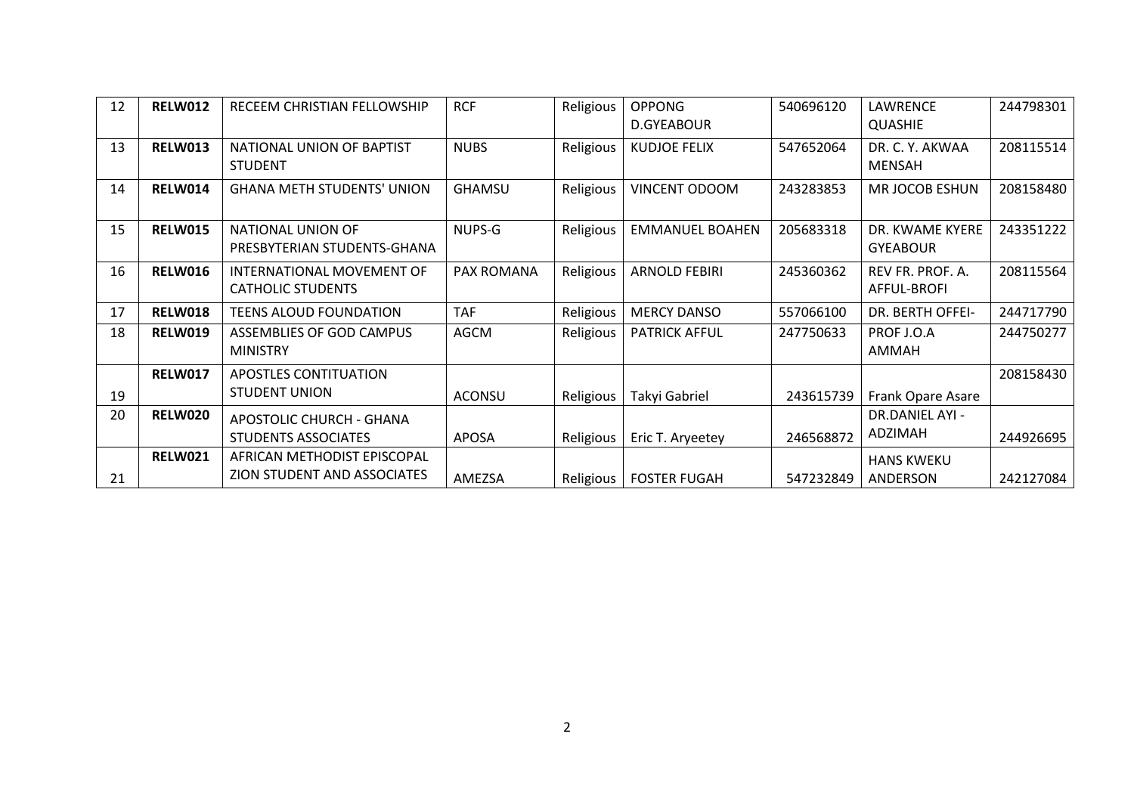| 12 | <b>RELW012</b> | RECEEM CHRISTIAN FELLOWSHIP       | <b>RCF</b>    | Religious | <b>OPPONG</b>          | 540696120 | <b>LAWRENCE</b>        | 244798301 |
|----|----------------|-----------------------------------|---------------|-----------|------------------------|-----------|------------------------|-----------|
|    |                |                                   |               |           | <b>D.GYEABOUR</b>      |           | <b>QUASHIE</b>         |           |
| 13 | <b>RELW013</b> | NATIONAL UNION OF BAPTIST         | <b>NUBS</b>   | Religious | <b>KUDJOE FELIX</b>    | 547652064 | DR. C. Y. AKWAA        | 208115514 |
|    |                | <b>STUDENT</b>                    |               |           |                        |           | <b>MENSAH</b>          |           |
| 14 | <b>RELW014</b> | <b>GHANA METH STUDENTS' UNION</b> | <b>GHAMSU</b> | Religious | <b>VINCENT ODOOM</b>   | 243283853 | MR JOCOB ESHUN         | 208158480 |
|    |                |                                   |               |           |                        |           |                        |           |
| 15 | <b>RELW015</b> | NATIONAL UNION OF                 | NUPS-G        | Religious | <b>EMMANUEL BOAHEN</b> | 205683318 | DR. KWAME KYERE        | 243351222 |
|    |                | PRESBYTERIAN STUDENTS-GHANA       |               |           |                        |           | <b>GYEABOUR</b>        |           |
| 16 | <b>RELW016</b> | INTERNATIONAL MOVEMENT OF         | PAX ROMANA    | Religious | <b>ARNOLD FEBIRI</b>   | 245360362 | REV FR. PROF. A.       | 208115564 |
|    |                | <b>CATHOLIC STUDENTS</b>          |               |           |                        |           | AFFUL-BROFI            |           |
| 17 | <b>RELW018</b> | <b>TEENS ALOUD FOUNDATION</b>     | <b>TAF</b>    | Religious | <b>MERCY DANSO</b>     | 557066100 | DR. BERTH OFFEI-       | 244717790 |
| 18 | <b>RELW019</b> | <b>ASSEMBLIES OF GOD CAMPUS</b>   | <b>AGCM</b>   | Religious | <b>PATRICK AFFUL</b>   | 247750633 | PROF J.O.A             | 244750277 |
|    |                | <b>MINISTRY</b>                   |               |           |                        |           | AMMAH                  |           |
|    | <b>RELW017</b> | <b>APOSTLES CONTITUATION</b>      |               |           |                        |           |                        | 208158430 |
| 19 |                | <b>STUDENT UNION</b>              | <b>ACONSU</b> | Religious | <b>Takyi Gabriel</b>   | 243615739 | Frank Opare Asare      |           |
| 20 | <b>RELW020</b> | <b>APOSTOLIC CHURCH - GHANA</b>   |               |           |                        |           | <b>DR.DANIEL AYI -</b> |           |
|    |                | <b>STUDENTS ASSOCIATES</b>        | <b>APOSA</b>  | Religious | Eric T. Aryeetey       | 246568872 | ADZIMAH                | 244926695 |
|    | <b>RELW021</b> | AFRICAN METHODIST EPISCOPAL       |               |           |                        |           | <b>HANS KWEKU</b>      |           |
| 21 |                | ZION STUDENT AND ASSOCIATES       | AMEZSA        | Religious | <b>FOSTER FUGAH</b>    | 547232849 | ANDERSON               | 242127084 |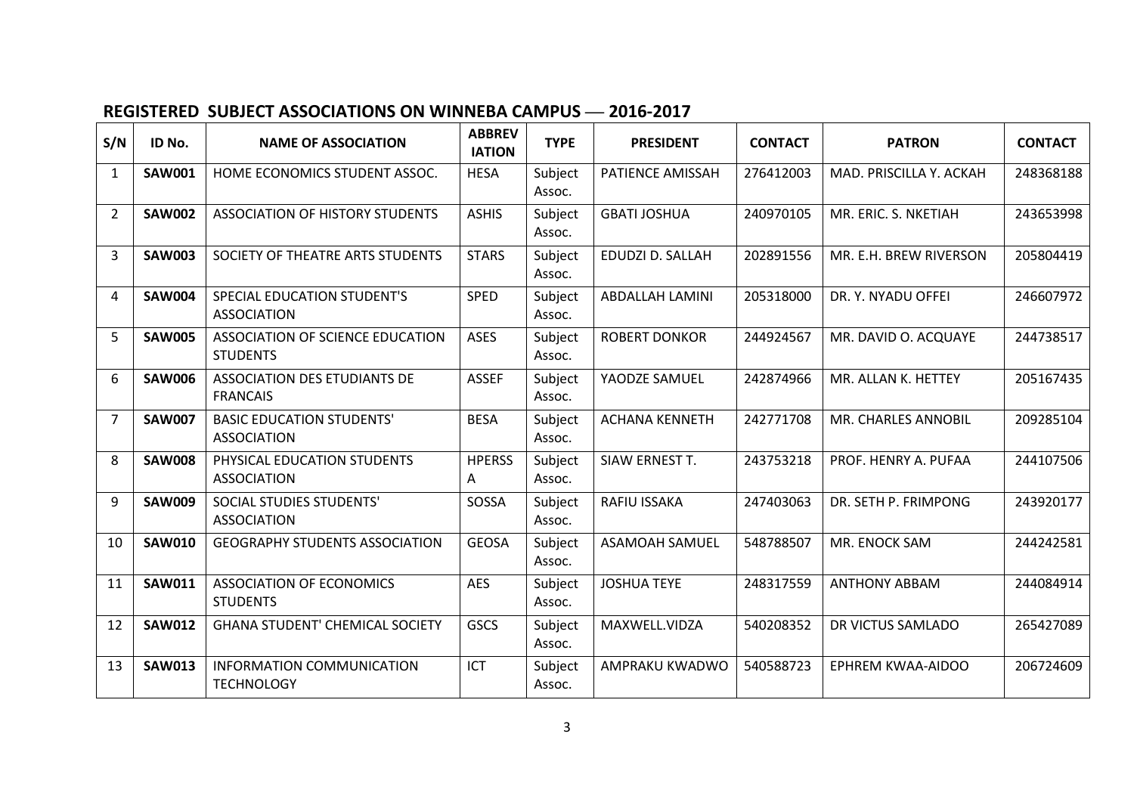#### **REGISTERED SUBJECT ASSOCIATIONS ON WINNEBA CAMPUS — 2016-2017**

| S/N            | ID No.        | <b>NAME OF ASSOCIATION</b>                               | <b>ABBREV</b><br><b>IATION</b> | <b>TYPE</b>       | <b>PRESIDENT</b>       | <b>CONTACT</b> | <b>PATRON</b>           | <b>CONTACT</b> |
|----------------|---------------|----------------------------------------------------------|--------------------------------|-------------------|------------------------|----------------|-------------------------|----------------|
| $\mathbf{1}$   | <b>SAW001</b> | HOME ECONOMICS STUDENT ASSOC.                            | <b>HESA</b>                    | Subject<br>Assoc. | PATIENCE AMISSAH       | 276412003      | MAD. PRISCILLA Y. ACKAH | 248368188      |
| $\overline{2}$ | <b>SAW002</b> | <b>ASSOCIATION OF HISTORY STUDENTS</b>                   | <b>ASHIS</b>                   | Subject<br>Assoc. | <b>GBATI JOSHUA</b>    | 240970105      | MR. ERIC. S. NKETIAH    | 243653998      |
| 3              | <b>SAW003</b> | SOCIETY OF THEATRE ARTS STUDENTS                         | <b>STARS</b>                   | Subject<br>Assoc. | EDUDZI D. SALLAH       | 202891556      | MR. E.H. BREW RIVERSON  | 205804419      |
| 4              | <b>SAW004</b> | <b>SPECIAL EDUCATION STUDENT'S</b><br><b>ASSOCIATION</b> | <b>SPED</b>                    | Subject<br>Assoc. | <b>ABDALLAH LAMINI</b> | 205318000      | DR. Y. NYADU OFFEI      | 246607972      |
| 5              | <b>SAW005</b> | ASSOCIATION OF SCIENCE EDUCATION<br><b>STUDENTS</b>      | <b>ASES</b>                    | Subject<br>Assoc. | <b>ROBERT DONKOR</b>   | 244924567      | MR. DAVID O. ACQUAYE    | 244738517      |
| 6              | <b>SAW006</b> | <b>ASSOCIATION DES ETUDIANTS DE</b><br><b>FRANCAIS</b>   | <b>ASSEF</b>                   | Subject<br>Assoc. | YAODZE SAMUEL          | 242874966      | MR. ALLAN K. HETTEY     | 205167435      |
| $\overline{7}$ | <b>SAW007</b> | <b>BASIC EDUCATION STUDENTS'</b><br><b>ASSOCIATION</b>   | <b>BESA</b>                    | Subject<br>Assoc. | <b>ACHANA KENNETH</b>  | 242771708      | MR. CHARLES ANNOBIL     | 209285104      |
| 8              | <b>SAW008</b> | PHYSICAL EDUCATION STUDENTS<br><b>ASSOCIATION</b>        | <b>HPERSS</b><br>A             | Subject<br>Assoc. | SIAW ERNEST T.         | 243753218      | PROF. HENRY A. PUFAA    | 244107506      |
| 9              | <b>SAW009</b> | <b>SOCIAL STUDIES STUDENTS'</b><br><b>ASSOCIATION</b>    | SOSSA                          | Subject<br>Assoc. | <b>RAFIU ISSAKA</b>    | 247403063      | DR. SETH P. FRIMPONG    | 243920177      |
| 10             | <b>SAW010</b> | <b>GEOGRAPHY STUDENTS ASSOCIATION</b>                    | <b>GEOSA</b>                   | Subject<br>Assoc. | <b>ASAMOAH SAMUEL</b>  | 548788507      | MR. ENOCK SAM           | 244242581      |
| 11             | <b>SAW011</b> | <b>ASSOCIATION OF ECONOMICS</b><br><b>STUDENTS</b>       | <b>AES</b>                     | Subject<br>Assoc. | <b>JOSHUA TEYE</b>     | 248317559      | <b>ANTHONY ABBAM</b>    | 244084914      |
| 12             | <b>SAW012</b> | <b>GHANA STUDENT' CHEMICAL SOCIETY</b>                   | GSCS                           | Subject<br>Assoc. | MAXWELL.VIDZA          | 540208352      | DR VICTUS SAMLADO       | 265427089      |
| 13             | <b>SAW013</b> | <b>INFORMATION COMMUNICATION</b><br><b>TECHNOLOGY</b>    | ICT                            | Subject<br>Assoc. | AMPRAKU KWADWO         | 540588723      | EPHREM KWAA-AIDOO       | 206724609      |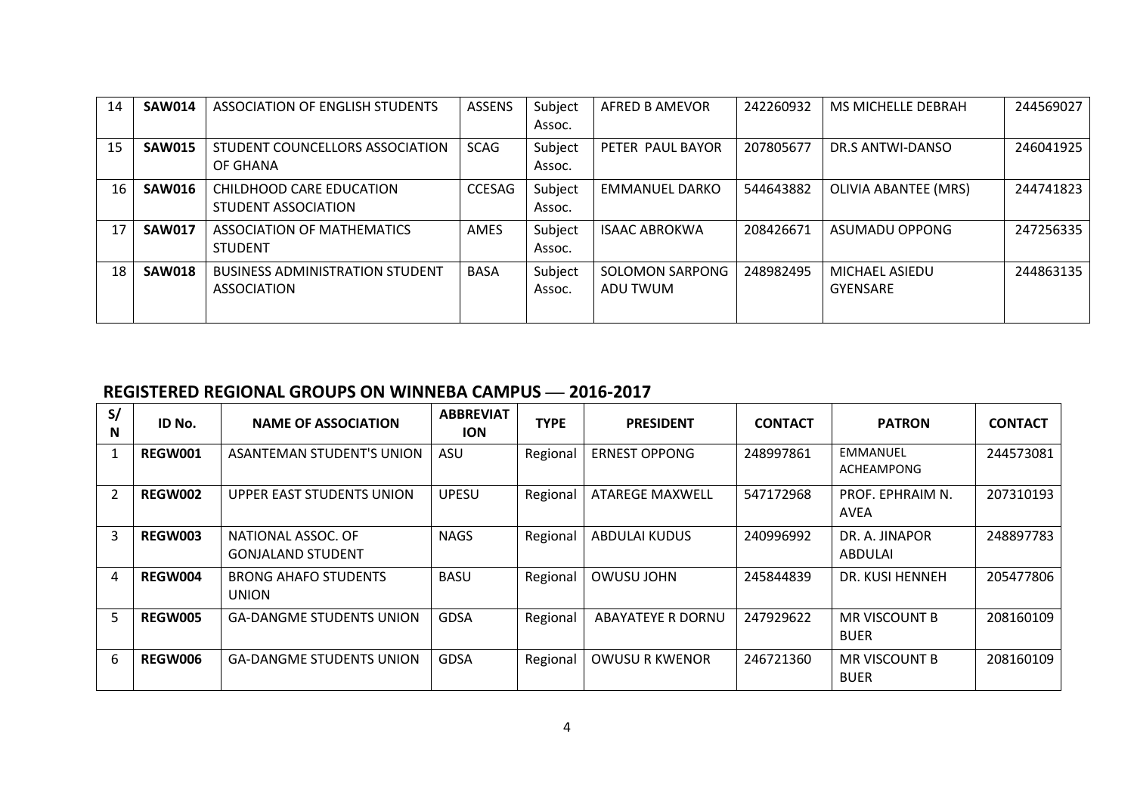| 14 | <b>SAW014</b> | ASSOCIATION OF ENGLISH STUDENTS                              | <b>ASSENS</b> | Subject<br>Assoc. | AFRED B AMEVOR                     | 242260932 | <b>MS MICHELLE DEBRAH</b>         | 244569027 |
|----|---------------|--------------------------------------------------------------|---------------|-------------------|------------------------------------|-----------|-----------------------------------|-----------|
| 15 | <b>SAW015</b> | STUDENT COUNCELLORS ASSOCIATION<br>OF GHANA                  | <b>SCAG</b>   | Subject<br>Assoc. | PETER PAUL BAYOR                   | 207805677 | DR.S ANTWI-DANSO                  | 246041925 |
| 16 | <b>SAW016</b> | CHILDHOOD CARE EDUCATION<br>STUDENT ASSOCIATION              | <b>CCESAG</b> | Subject<br>Assoc. | <b>EMMANUEL DARKO</b>              | 544643882 | <b>OLIVIA ABANTEE (MRS)</b>       | 244741823 |
| 17 | <b>SAW017</b> | ASSOCIATION OF MATHEMATICS<br><b>STUDENT</b>                 | AMES          | Subject<br>Assoc. | <b>ISAAC ABROKWA</b>               | 208426671 | <b>ASUMADU OPPONG</b>             | 247256335 |
| 18 | <b>SAW018</b> | <b>BUSINESS ADMINISTRATION STUDENT</b><br><b>ASSOCIATION</b> | <b>BASA</b>   | Subject<br>Assoc. | <b>SOLOMON SARPONG</b><br>ADU TWUM | 248982495 | MICHAEL ASIEDU<br><b>GYENSARE</b> | 244863135 |

### **REGISTERED REGIONAL GROUPS ON WINNEBA CAMPUS — 2016-2017**

| S/<br>N        | ID No.         | <b>NAME OF ASSOCIATION</b>                     | <b>ABBREVIAT</b><br><b>ION</b> | <b>TYPE</b> | <b>PRESIDENT</b>         | <b>CONTACT</b> | <b>PATRON</b>                       | <b>CONTACT</b> |
|----------------|----------------|------------------------------------------------|--------------------------------|-------------|--------------------------|----------------|-------------------------------------|----------------|
|                | <b>REGW001</b> | <b>ASANTEMAN STUDENT'S UNION</b>               | ASU                            | Regional    | <b>ERNEST OPPONG</b>     | 248997861      | EMMANUEL<br><b>ACHEAMPONG</b>       | 244573081      |
| $\overline{2}$ | <b>REGW002</b> | UPPER EAST STUDENTS UNION                      | <b>UPESU</b>                   | Regional    | <b>ATAREGE MAXWELL</b>   | 547172968      | PROF. EPHRAIM N.<br><b>AVEA</b>     | 207310193      |
| 3              | REGW003        | NATIONAL ASSOC. OF<br><b>GONJALAND STUDENT</b> | <b>NAGS</b>                    | Regional    | ABDULAI KUDUS            | 240996992      | DR. A. JINAPOR<br>ABDULAI           | 248897783      |
| 4              | REGW004        | <b>BRONG AHAFO STUDENTS</b><br><b>UNION</b>    | <b>BASU</b>                    | Regional    | OWUSU JOHN               | 245844839      | DR. KUSI HENNEH                     | 205477806      |
| 5.             | <b>REGW005</b> | <b>GA-DANGME STUDENTS UNION</b>                | <b>GDSA</b>                    | Regional    | <b>ABAYATEYE R DORNU</b> | 247929622      | <b>MR VISCOUNT B</b><br><b>BUER</b> | 208160109      |
| 6              | <b>REGW006</b> | <b>GA-DANGME STUDENTS UNION</b>                | <b>GDSA</b>                    | Regional    | OWUSU R KWENOR           | 246721360      | <b>MR VISCOUNT B</b><br><b>BUER</b> | 208160109      |